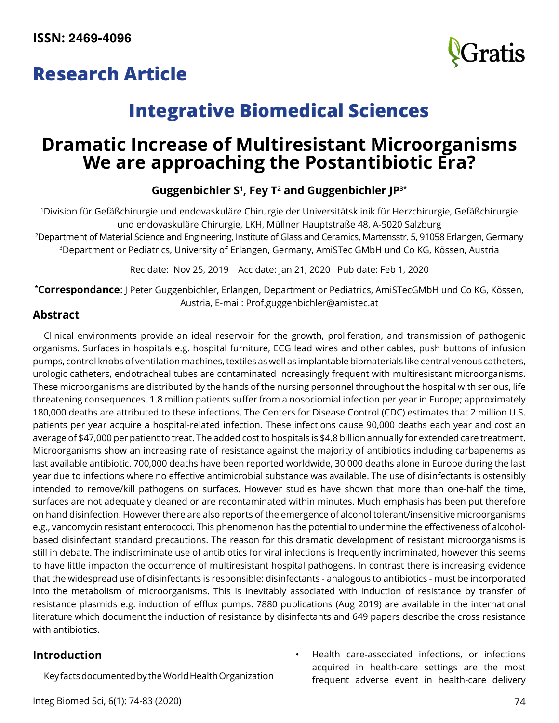## **Research Article**



# **Integrative Biomedical Sciences**

## **Dramatic Increase of Multiresistant Microorganisms We are approaching the Postantibiotic Era?**

## **Guggenbichler S1 , Fey T2 and Guggenbichler JP3\***

1Division für Gefäßchirurgie und endovaskuläre Chirurgie der Universitätsklinik für Herzchirurgie, Gefäßchirurgie und endovaskuläre Chirurgie, LKH, Müllner Hauptstraße 48, A-5020 Salzburg

2 Department of Material Science and Engineering, Institute of Glass and Ceramics, Martensstr. 5, 91058 Erlangen, Germany 3Department or Pediatrics, University of Erlangen, Germany, AmiSTec GMbH und Co KG, Kössen, Austria

Rec date: Nov 25, 2019 Acc date: Jan 21, 2020 Pub date: Feb 1, 2020

**\* Correspondance**: J Peter Guggenbichler, Erlangen, Department or Pediatrics, AmiSTecGMbH und Co KG, Kössen, Austria, E-mail: [Prof.guggenbichler@amistec.at](mailto:Prof.guggenbichler%40amistec.at?subject=)

## **Abstract**

Clinical environments provide an ideal reservoir for the growth, proliferation, and transmission of pathogenic organisms. Surfaces in hospitals e.g. hospital furniture, ECG lead wires and other cables, push buttons of infusion pumps, control knobs of ventilation machines, textiles as well as implantable biomaterials like central venous catheters, urologic catheters, endotracheal tubes are contaminated increasingly frequent with multiresistant microorganisms. These microorganisms are distributed by the hands of the nursing personnel throughout the hospital with serious, life threatening consequences. 1.8 million patients suffer from a nosociomial infection per year in Europe; approximately 180,000 deaths are attributed to these infections. The Centers for Disease Control (CDC) estimates that 2 million U.S. patients per year acquire a hospital-related infection. These infections cause 90,000 deaths each year and cost an average of \$47,000 per patient to treat. The added cost to hospitals is \$4.8 billion annually for extended care treatment. Microorganisms show an increasing rate of resistance against the majority of antibiotics including carbapenems as last available antibiotic. 700,000 deaths have been reported worldwide, 30 000 deaths alone in Europe during the last year due to infections where no effective antimicrobial substance was available. The use of disinfectants is ostensibly intended to remove/kill pathogens on surfaces. However studies have shown that more than one-half the time, surfaces are not adequately cleaned or are recontaminated within minutes. Much emphasis has been put therefore on hand disinfection. However there are also reports of the emergence of alcohol tolerant/insensitive microorganisms e.g., vancomycin resistant enterococci. This phenomenon has the potential to undermine the effectiveness of alcoholbased disinfectant standard precautions. The reason for this dramatic development of resistant microorganisms is still in debate. The indiscriminate use of antibiotics for viral infections is frequently incriminated, however this seems to have little impacton the occurrence of multiresistant hospital pathogens. In contrast there is increasing evidence that the widespread use of disinfectants is responsible: disinfectants - analogous to antibiotics - must be incorporated into the metabolism of microorganisms. This is inevitably associated with induction of resistance by transfer of resistance plasmids e.g. induction of efflux pumps. 7880 publications (Aug 2019) are available in the international literature which document the induction of resistance by disinfectants and 649 papers describe the cross resistance with antibiotics.

## **Introduction**

Key facts documented by the World Health Organization

- Integ Biomed Sci, 6(1): 74-83 (2020) 74
- Health care-associated infections, or infections acquired in health-care settings are the most frequent adverse event in health-care delivery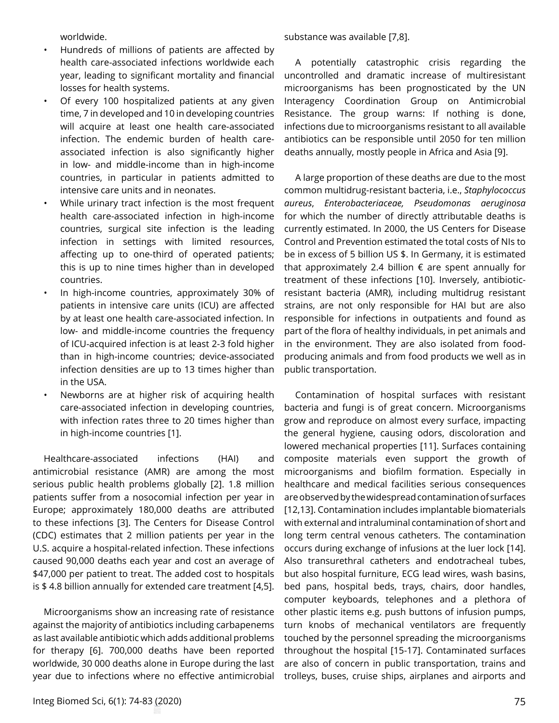worldwide.

- Hundreds of millions of patients are affected by health care-associated infections worldwide each year, leading to significant mortality and financial losses for health systems.
- Of every 100 hospitalized patients at any given time, 7 in developed and 10 in developing countries will acquire at least one health care-associated infection. The endemic burden of health careassociated infection is also significantly higher in low- and middle-income than in high-income countries, in particular in patients admitted to intensive care units and in neonates.
- While urinary tract infection is the most frequent health care-associated infection in high-income countries, surgical site infection is the leading infection in settings with limited resources, affecting up to one-third of operated patients; this is up to nine times higher than in developed countries.
- In high-income countries, approximately 30% of patients in intensive care units (ICU) are affected by at least one health care-associated infection. In low- and middle-income countries the frequency of ICU-acquired infection is at least 2-3 fold higher than in high-income countries; device-associated infection densities are up to 13 times higher than in the USA.
- Newborns are at higher risk of acquiring health care-associated infection in developing countries, with infection rates three to 20 times higher than in high-income countries [1].

Healthcare-associated infections (HAI) and antimicrobial resistance (AMR) are among the most serious public health problems globally [2]. 1.8 million patients suffer from a nosocomial infection per year in Europe; approximately 180,000 deaths are attributed to these infections [3]. The Centers for Disease Control (CDC) estimates that 2 million patients per year in the U.S. acquire a hospital-related infection. These infections caused 90,000 deaths each year and cost an average of \$47,000 per patient to treat. The added cost to hospitals is \$ 4.8 billion annually for extended care treatment [4,5].

Microorganisms show an increasing rate of resistance against the majority of antibiotics including carbapenems as last available antibiotic which adds additional problems for therapy [6]. 700,000 deaths have been reported worldwide, 30 000 deaths alone in Europe during the last year due to infections where no effective antimicrobial substance was available [7,8].

A potentially catastrophic crisis regarding the uncontrolled and dramatic increase of multiresistant microorganisms has been prognosticated by the UN Interagency Coordination Group on Antimicrobial Resistance. The group warns: If nothing is done, infections due to microorganisms resistant to all available antibiotics can be responsible until 2050 for ten million deaths annually, mostly people in Africa and Asia [9].

A large proportion of these deaths are due to the most common multidrug-resistant bacteria, i.e., *Staphylococcus aureus*, *Enterobacteriaceae, Pseudomonas aeruginosa* for which the number of directly attributable deaths is currently estimated. In 2000, the US Centers for Disease Control and Prevention estimated the total costs of NIs to be in excess of 5 billion US \$. In Germany, it is estimated that approximately 2.4 billion  $\epsilon$  are spent annually for treatment of these infections [10]. Inversely, antibioticresistant bacteria (AMR), including multidrug resistant strains, are not only responsible for HAI but are also responsible for infections in outpatients and found as part of the flora of healthy individuals, in pet animals and in the environment. They are also isolated from foodproducing animals and from food products we well as in public transportation.

Contamination of hospital surfaces with resistant bacteria and fungi is of great concern. Microorganisms grow and reproduce on almost every surface, impacting the general hygiene, causing odors, discoloration and lowered mechanical properties [11]. Surfaces containing composite materials even support the growth of microorganisms and biofilm formation. Especially in healthcare and medical facilities serious consequences are observed by the widespread contamination of surfaces [12,13]. Contamination includes implantable biomaterials with external and intraluminal contamination of short and long term central venous catheters. The contamination occurs during exchange of infusions at the luer lock [14]. Also transurethral catheters and endotracheal tubes, but also hospital furniture, ECG lead wires, wash basins, bed pans, hospital beds, trays, chairs, door handles, computer keyboards, telephones and a plethora of other plastic items e.g. push buttons of infusion pumps, turn knobs of mechanical ventilators are frequently touched by the personnel spreading the microorganisms throughout the hospital [15-17]. Contaminated surfaces are also of concern in public transportation, trains and trolleys, buses, cruise ships, airplanes and airports and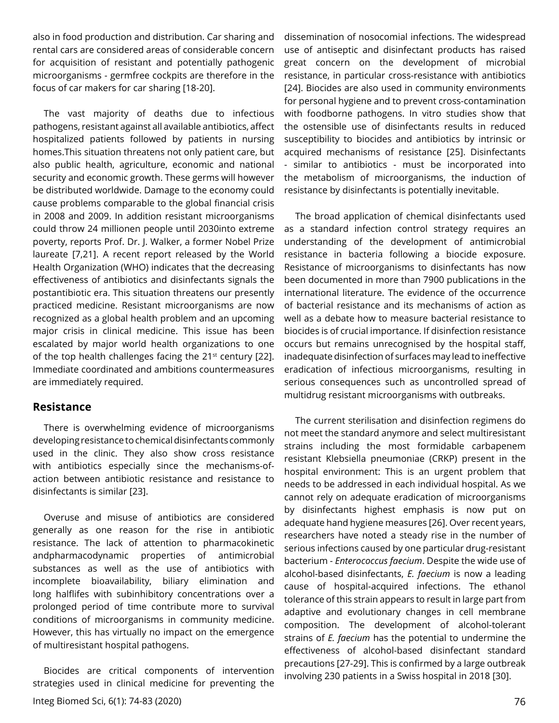also in food production and distribution. Car sharing and rental cars are considered areas of considerable concern for acquisition of resistant and potentially pathogenic microorganisms - germfree cockpits are therefore in the focus of car makers for car sharing [18-20].

The vast majority of deaths due to infectious pathogens, resistant against all available antibiotics, affect hospitalized patients followed by patients in nursing homes.This situation threatens not only patient care, but also public health, agriculture, economic and national security and economic growth. These germs will however be distributed worldwide. Damage to the economy could cause problems comparable to the global financial crisis in 2008 and 2009. In addition resistant microorganisms could throw 24 millionen people until 2030into extreme poverty, reports Prof. Dr. J. Walker, a former Nobel Prize laureate [7,21]. A recent report released by the World Health Organization (WHO) indicates that the decreasing effectiveness of antibiotics and disinfectants signals the postantibiotic era. This situation threatens our presently practiced medicine. Resistant microorganisms are now recognized as a global health problem and an upcoming major crisis in clinical medicine. This issue has been escalated by major world health organizations to one of the top health challenges facing the  $21<sup>st</sup>$  century [22]. Immediate coordinated and ambitions countermeasures are immediately required.

#### **Resistance**

There is overwhelming evidence of microorganisms developing resistance to chemical disinfectants commonly used in the clinic. They also show cross resistance with antibiotics especially since the mechanisms-ofaction between antibiotic resistance and resistance to disinfectants is similar [23].

Overuse and misuse of antibiotics are considered generally as one reason for the rise in antibiotic resistance. The lack of attention to pharmacokinetic andpharmacodynamic properties of antimicrobial substances as well as the use of antibiotics with incomplete bioavailability, biliary elimination and long halflifes with subinhibitory concentrations over a prolonged period of time contribute more to survival conditions of microorganisms in community medicine. However, this has virtually no impact on the emergence of multiresistant hospital pathogens.

Biocides are critical components of intervention strategies used in clinical medicine for preventing the

dissemination of nosocomial infections. The widespread use of antiseptic and disinfectant products has raised great concern on the development of microbial resistance, in particular cross-resistance with antibiotics [24]. Biocides are also used in community environments for personal hygiene and to prevent cross-contamination with foodborne pathogens. In vitro studies show that the ostensible use of disinfectants results in reduced susceptibility to biocides and antibiotics by intrinsic or acquired mechanisms of resistance [25]. Disinfectants - similar to antibiotics - must be incorporated into the metabolism of microorganisms, the induction of resistance by disinfectants is potentially inevitable.

The broad application of chemical disinfectants used as a standard infection control strategy requires an understanding of the development of antimicrobial resistance in bacteria following a biocide exposure. Resistance of microorganisms to disinfectants has now been documented in more than 7900 publications in the international literature. The evidence of the occurrence of bacterial resistance and its mechanisms of action as well as a debate how to measure bacterial resistance to biocides is of crucial importance. If disinfection resistance occurs but remains unrecognised by the hospital staff, inadequate disinfection of surfaces may lead to ineffective eradication of infectious microorganisms, resulting in serious consequences such as uncontrolled spread of multidrug resistant microorganisms with outbreaks.

The current sterilisation and disinfection regimens do not meet the standard anymore and select multiresistant strains including the most formidable carbapenem resistant Klebsiella pneumoniae (CRKP) present in the hospital environment: This is an urgent problem that needs to be addressed in each individual hospital. As we cannot rely on adequate eradication of microorganisms by disinfectants highest emphasis is now put on adequate hand hygiene measures [26]. Over recent years, researchers have noted a steady rise in the number of serious infections caused by one particular drug-resistant bacterium - *Enterococcus faecium*. Despite the wide use of alcohol-based disinfectants, *E. faecium* is now a leading cause of hospital-acquired infections. The ethanol tolerance of this strain appears to result in large part from adaptive and evolutionary changes in cell membrane composition. The development of alcohol-tolerant strains of *E. faecium* has the potential to undermine the effectiveness of alcohol-based disinfectant standard precautions [27-29]. This is confirmed by a large outbreak involving 230 patients in a Swiss hospital in 2018 [30].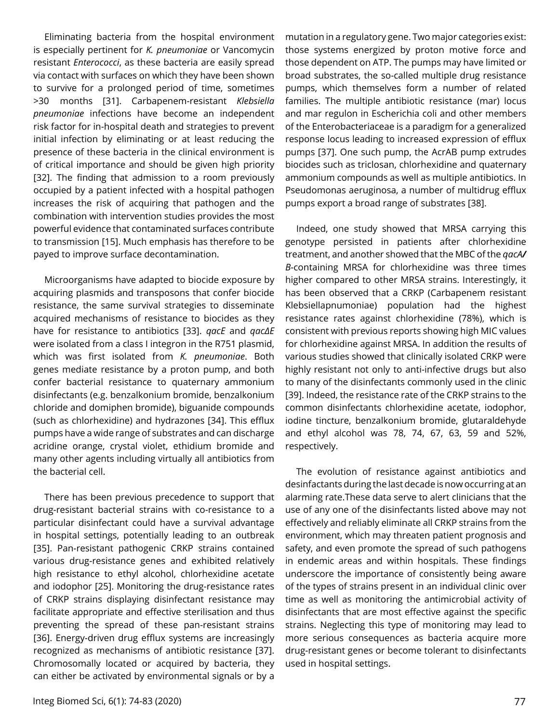Eliminating bacteria from the hospital environment is especially pertinent for *K. pneumoniae* or Vancomycin resistant *Enterococci*, as these bacteria are easily spread via contact with surfaces on which they have been shown to survive for a prolonged period of time, sometimes >30  months [31]. Carbapenem-resistant *Klebsiella pneumoniae* infections have become an independent risk factor for in-hospital death and strategies to prevent initial infection by eliminating or at least reducing the presence of these bacteria in the clinical environment is of critical importance and should be given high priority [32]. The finding that admission to a room previously occupied by a patient infected with a hospital pathogen increases the risk of acquiring that pathogen and the combination with intervention studies provides the most powerful evidence that contaminated surfaces contribute to transmission [15]. Much emphasis has therefore to be payed to improve surface decontamination.

Microorganisms have adapted to biocide exposure by acquiring plasmids and transposons that confer biocide resistance, the same survival strategies to disseminate acquired mechanisms of resistance to biocides as they have for resistance to antibiotics [33]. *qacE* and *qacΔE* were isolated from a class I integron in the R751 plasmid, which was first isolated from *K. pneumoniae*. Both genes mediate resistance by a proton pump, and both confer bacterial resistance to quaternary ammonium disinfectants (e.g. benzalkonium bromide, benzalkonium chloride and domiphen bromide), biguanide compounds (such as chlorhexidine) and hydrazones [34]. This efflux pumps have a wide range of substrates and can discharge acridine orange, crystal violet, ethidium bromide and many other agents including virtually all antibiotics from the bacterial cell.

There has been previous precedence to support that drug-resistant bacterial strains with co-resistance to a particular disinfectant could have a survival advantage in hospital settings, potentially leading to an outbreak [35]. Pan-resistant pathogenic CRKP strains contained various drug-resistance genes and exhibited relatively high resistance to ethyl alcohol, chlorhexidine acetate and iodophor [25]. Monitoring the drug-resistance rates of CRKP strains displaying disinfectant resistance may facilitate appropriate and effective sterilisation and thus preventing the spread of these pan-resistant strains [36]. Energy-driven drug efflux systems are increasingly recognized as mechanisms of antibiotic resistance [37]. Chromosomally located or acquired by bacteria, they can either be activated by environmental signals or by a

mutation in a regulatory gene. Two major categories exist: those systems energized by proton motive force and those dependent on ATP. The pumps may have limited or broad substrates, the so-called multiple drug resistance pumps, which themselves form a number of related families. The multiple antibiotic resistance (mar) locus and mar regulon in Escherichia coli and other members of the Enterobacteriaceae is a paradigm for a generalized response locus leading to increased expression of efflux pumps [37]. One such pump, the AcrAB pump extrudes biocides such as triclosan, chlorhexidine and quaternary ammonium compounds as well as multiple antibiotics. In Pseudomonas aeruginosa, a number of multidrug efflux pumps export a broad range of substrates [38].

Indeed, one study showed that MRSA carrying this genotype persisted in patients after chlorhexidine treatment, and another showed that the MBC of the *qacA/ B*-containing MRSA for chlorhexidine was three times higher compared to other MRSA strains. Interestingly, it has been observed that a CRKP (Carbapenem resistant Klebsiellapnumoniae) population had the highest resistance rates against chlorhexidine (78%), which is consistent with previous reports showing high MIC values for chlorhexidine against MRSA. In addition the results of various studies showed that clinically isolated CRKP were highly resistant not only to anti-infective drugs but also to many of the disinfectants commonly used in the clinic [39]. Indeed, the resistance rate of the CRKP strains to the common disinfectants chlorhexidine acetate, iodophor, iodine tincture, benzalkonium bromide, glutaraldehyde and ethyl alcohol was 78, 74, 67, 63, 59 and 52%, respectively.

The evolution of resistance against antibiotics and desinfactants during the last decade is now occurring at an alarming rate.These data serve to alert clinicians that the use of any one of the disinfectants listed above may not effectively and reliably eliminate all CRKP strains from the environment, which may threaten patient prognosis and safety, and even promote the spread of such pathogens in endemic areas and within hospitals. These findings underscore the importance of consistently being aware of the types of strains present in an individual clinic over time as well as monitoring the antimicrobial activity of disinfectants that are most effective against the specific strains. Neglecting this type of monitoring may lead to more serious consequences as bacteria acquire more drug-resistant genes or become tolerant to disinfectants used in hospital settings.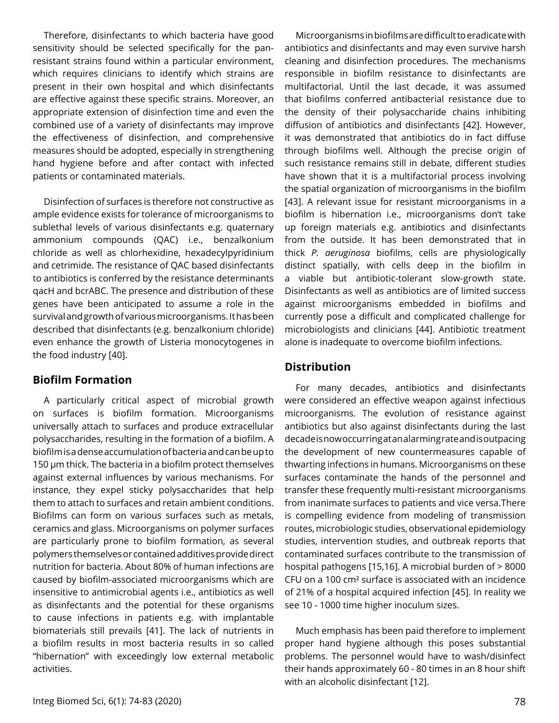Therefore, disinfectants to which bacteria have good sensitivity should be selected specifically for the panresistant strains found within a particular environment, which requires clinicians to identify which strains are present in their own hospital and which disinfectants are effective against these specific strains. Moreover, an appropriate extension of disinfection time and even the combined use of a variety of disinfectants may improve the effectiveness of disinfection, and comprehensive measures should be adopted, especially in strengthening hand hygiene before and after contact with infected patients or contaminated materials.

Disinfection of surfaces is therefore not constructive as ample evidence exists for tolerance of microorganisms to sublethal levels of various disinfectants e.g. quaternary ammonium compounds (QAC) i.e., benzalkonium chloride as well as chlorhexidine, hexadecylpyridinium and cetrimide. The resistance of QAC based disinfectants to antibiotics is conferred by the resistance determinants qacH and bcrABC. The presence and distribution of these genes have been anticipated to assume a role in the survival and growth of various microorganisms. It has been described that disinfectants (e.g. benzalkonium chloride) even enhance the growth of Listeria monocytogenes in the food industry [40].

## **Biofilm Formation**

A particularly critical aspect of microbial growth on surfaces is biofilm formation. Microorganisms universally attach to surfaces and produce extracellular polysaccharides, resulting in the formation of a biofilm. A biofilm is a dense accumulation of bacteria and can be up to 150 µm thick. The bacteria in a biofilm protect themselves against external influences by various mechanisms. For instance, they expel sticky polysaccharides that help them to attach to surfaces and retain ambient conditions. Biofilms can form on various surfaces such as metals, ceramics and glass. Microorganisms on polymer surfaces are particularly prone to biofilm formation, as several polymers themselves or contained additives provide direct nutrition for bacteria. About 80% of human infections are caused by biofilm-associated microorganisms which are insensitive to antimicrobial agents i.e., antibiotics as well as disinfectants and the potential for these organisms to cause infections in patients e.g. with implantable biomaterials still prevails [41]. The lack of nutrients in a biofilm results in most bacteria results in so called "hibernation" with exceedingly low external metabolic activities.

Microorganisms in biofilms are difficult to eradicate with antibiotics and disinfectants and may even survive harsh cleaning and disinfection procedures. The mechanisms responsible in biofilm resistance to disinfectants are multifactorial. Until the last decade, it was assumed that biofilms conferred antibacterial resistance due to the density of their polysaccharide chains inhibiting diffusion of antibiotics and disinfectants [42]. However, it was demonstrated that antibiotics do in fact diffuse through biofilms well. Although the precise origin of such resistance remains still in debate, different studies have shown that it is a multifactorial process involving the spatial organization of microorganisms in the biofilm [43]. A relevant issue for resistant microorganisms in a biofilm is hibernation i.e., microorganisms don't take up foreign materials e.g. antibiotics and disinfectants from the outside. It has been demonstrated that in thick *P. aeruginosa* biofilms, cells are physiologically distinct spatially, with cells deep in the biofilm in a viable but antibiotic-tolerant slow-growth state. Disinfectants as well as antibiotics are of limited success against microorganisms embedded in biofilms and currently pose a difficult and complicated challenge for microbiologists and clinicians [44]. Antibiotic treatment alone is inadequate to overcome biofilm infections.

### **Distribution**

For many decades, antibiotics and disinfectants were considered an effective weapon against infectious microorganisms. The evolution of resistance against antibiotics but also against disinfectants during the last decade is now occurring at an alarming rate and is outpacing the development of new countermeasures capable of thwarting infections in humans. Microorganisms on these surfaces contaminate the hands of the personnel and transfer these frequently multi-resistant microorganisms from inanimate surfaces to patients and vice versa.There is compelling evidence from modeling of transmission routes, microbiologic studies, observational epidemiology studies, intervention studies, and outbreak reports that contaminated surfaces contribute to the transmission of hospital pathogens [15,16]. A microbial burden of > 8000 CFU on a 100 cm² surface is associated with an incidence of 21% of a hospital acquired infection [45]. In reality we see 10 - 1000 time higher inoculum sizes.

Much emphasis has been paid therefore to implement proper hand hygiene although this poses substantial problems. The personnel would have to wash/disinfect their hands approximately 60 - 80 times in an 8 hour shift with an alcoholic disinfectant [12].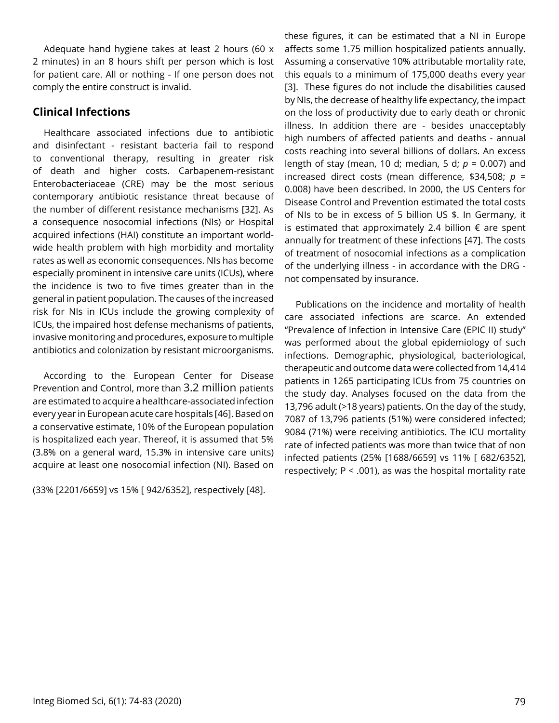Adequate hand hygiene takes at least 2 hours (60 x 2 minutes) in an 8 hours shift per person which is lost for patient care. All or nothing - If one person does not comply the entire construct is invalid.

### **Clinical Infections**

Healthcare associated infections due to antibiotic and disinfectant - resistant bacteria fail to respond to conventional therapy, resulting in greater risk of death and higher costs. Carbapenem-resistant Enterobacteriaceae (CRE) may be the most serious contemporary antibiotic resistance threat because of the number of different resistance mechanisms [32]. As a consequence nosocomial infections (NIs) or Hospital acquired infections (HAI) constitute an important worldwide health problem with high morbidity and mortality rates as well as economic consequences. NIs has become especially prominent in intensive care units (ICUs), where the incidence is two to five times greater than in the general in patient population. The causes of the increased risk for NIs in ICUs include the growing complexity of ICUs, the impaired host defense mechanisms of patients, invasive monitoring and procedures, exposure to multiple antibiotics and colonization by resistant microorganisms.

According to the European Center for Disease Prevention and Control, more than 3.2 million patients are estimated to acquire a healthcare-associated infection every year in European acute care hospitals [46]. Based on a conservative estimate, 10% of the European population is hospitalized each year. Thereof, it is assumed that 5% (3.8% on a general ward, 15.3% in intensive care units) acquire at least one nosocomial infection (NI). Based on

(33% [2201/6659] vs 15% [ 942/6352], respectively [48].

these figures, it can be estimated that a NI in Europe affects some 1.75 million hospitalized patients annually. Assuming a conservative 10% attributable mortality rate, this equals to a minimum of 175,000 deaths every year [3]. These figures do not include the disabilities caused by NIs, the decrease of healthy life expectancy, the impact on the loss of productivity due to early death or chronic illness. In addition there are - besides unacceptably high numbers of affected patients and deaths - annual costs reaching into several billions of dollars. An excess length of stay (mean, 10 d; median, 5 d; *p* = 0.007) and increased direct costs (mean difference, \$34,508; *p* = 0.008) have been described. In 2000, the US Centers for Disease Control and Prevention estimated the total costs of NIs to be in excess of 5 billion US \$. In Germany, it is estimated that approximately 2.4 billion  $\epsilon$  are spent annually for treatment of these infections [47]. The costs of treatment of nosocomial infections as a complication of the underlying illness - in accordance with the DRG not compensated by insurance.

Publications on the incidence and mortality of health care associated infections are scarce. An extended "Prevalence of Infection in Intensive Care (EPIC II) study" was performed about the global epidemiology of such infections. Demographic, physiological, bacteriological, therapeutic and outcome data were collected from 14,414 patients in 1265 participating ICUs from 75 countries on the study day. Analyses focused on the data from the 13,796 adult (>18 years) patients. On the day of the study, 7087 of 13,796 patients (51%) were considered infected; 9084 (71%) were receiving antibiotics. The ICU mortality rate of infected patients was more than twice that of non infected patients (25% [1688/6659] vs 11% [ 682/6352], respectively;  $P < .001$ ), as was the hospital mortality rate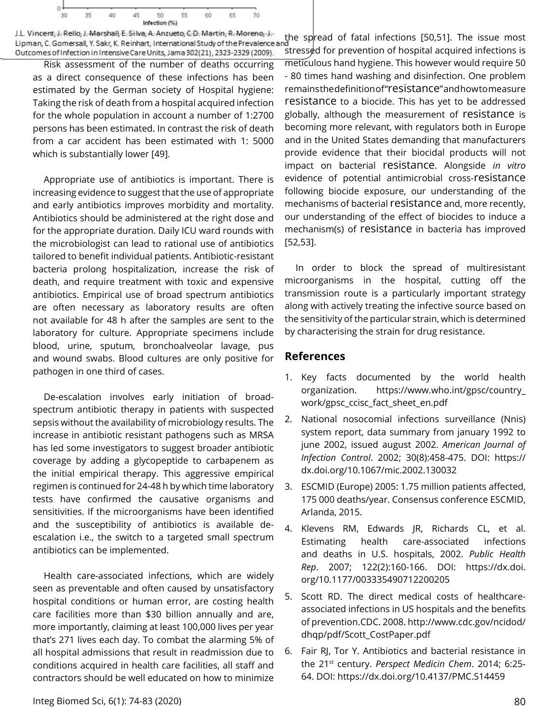

J.L. Vincent, J. Rello, J. Marshall, E. Silva, A. Anzueto, C.D. Martin, R. Moreno, J. Lipman, C. Gomersall, Y. Sakr, K. Reinhart, International Study of the Prevalence a Outcomes of Infection in Intensive Care Units, Jama 302(21), 2323-2329 (2009)

Risk assessment of the number of deaths occurring as a direct consequence of these infections has been estimated by the German society of Hospital hygiene: Taking the risk of death from a hospital acquired infection for the whole population in account a number of 1:2700 persons has been estimated. In contrast the risk of death from a car accident has been estimated with 1: 5000 which is substantially lower [49].

Appropriate use of antibiotics is important. There is increasing evidence to suggest that the use of appropriate and early antibiotics improves morbidity and mortality. Antibiotics should be administered at the right dose and for the appropriate duration. Daily ICU ward rounds with the microbiologist can lead to rational use of antibiotics tailored to benefit individual patients. Antibiotic-resistant bacteria prolong hospitalization, increase the risk of death, and require treatment with toxic and expensive antibiotics. Empirical use of broad spectrum antibiotics are often necessary as laboratory results are often not available for 48 h after the samples are sent to the laboratory for culture. Appropriate specimens include blood, urine, sputum, bronchoalveolar lavage, pus and wound swabs. Blood cultures are only positive for pathogen in one third of cases.

De-escalation involves early initiation of broadspectrum antibiotic therapy in patients with suspected sepsis without the availability of microbiology results. The increase in antibiotic resistant pathogens such as MRSA has led some investigators to suggest broader antibiotic coverage by adding a glycopeptide to carbapenem as the initial empirical therapy. This aggressive empirical regimen is continued for 24-48 h by which time laboratory tests have confirmed the causative organisms and sensitivities. If the microorganisms have been identified and the susceptibility of antibiotics is available deescalation i.e., the switch to a targeted small spectrum antibiotics can be implemented.

Health care-associated infections, which are widely seen as preventable and often caused by unsatisfactory hospital conditions or human error, are costing health care facilities more than \$30 billion annually and are, more importantly, claiming at least 100,000 lives per year that's 271 lives each day. To combat the alarming 5% of all hospital admissions that result in readmission due to conditions acquired in health care facilities, all staff and contractors should be well educated on how to minimize the spread of fatal infections [50,51]. The issue most  $\frac{1}{2}$  stressed for prevention of hospital acquired infections is meticulous hand hygiene. This however would require 50 - 80 times hand washing and disinfection. One problem remains the definition of "resistance" and how to measure resistance to a biocide. This has yet to be addressed globally, although the measurement of resistance is becoming more relevant, with regulators both in Europe and in the United States demanding that manufacturers provide evidence that their biocidal products will not impact on bacterial resistance. Alongside *in vitro* evidence of potential antimicrobial cross-resistance following biocide exposure, our understanding of the mechanisms of bacterial resistance and, more recently, our understanding of the effect of biocides to induce a mechanism(s) of resistance in bacteria has improved [52,53].

In order to block the spread of multiresistant microorganisms in the hospital, cutting off the transmission route is a particularly important strategy along with actively treating the infective source based on the sensitivity of the particular strain, which is determined by characterising the strain for drug resistance.

## **References**

- 1. Key facts documented by the world health organization. [https://www.who.int/gpsc/country\\_](https://www.who.int/gpsc/country_work/gpsc_ccisc_fact_sheet_en.pdf) [work/gpsc\\_ccisc\\_fact\\_sheet\\_en.pdf](https://www.who.int/gpsc/country_work/gpsc_ccisc_fact_sheet_en.pdf)
- 2. National nosocomial infections surveillance (Nnis) system report, data summary from january 1992 to june 2002, issued august 2002. *American Journal of Infection Control*. 2002; 30(8):458-475. DOI: [https://](https://dx.doi.org/10.1067/mic.2002.130032) [dx.doi.org/10.1067/mic.2002.130032](https://dx.doi.org/10.1067/mic.2002.130032)
- 3. ESCMID (Europe) 2005: 1.75 million patients affected, 175 000 deaths/year. Consensus conference ESCMID, Arlanda, 2015.
- 4. Klevens RM, Edwards JR, Richards CL, et al. Estimating health care-associated infections and deaths in U.S. hospitals, 2002. *Public Health Rep*. 2007; 122(2):160-166. DOI: [https://dx.doi.](https://dx.doi.org/10.1177/003335490712200205) [org/10.1177/003335490712200205](https://dx.doi.org/10.1177/003335490712200205)
- 5. Scott RD. The direct medical costs of healthcareassociated infections in US hospitals and the benefits of prevention.CDC. 2008. [http://www.cdc.gov/ncidod/](http://www.cdc.gov/ncidod/dhqp/pdf/Scott_CostPaper.pdf) [dhqp/pdf/Scott\\_CostPaper.pdf](http://www.cdc.gov/ncidod/dhqp/pdf/Scott_CostPaper.pdf)
- 6. Fair RJ, Tor Y. Antibiotics and bacterial resistance in the 21st century. *Perspect Medicin Chem*. 2014; 6:25- 64. DOI: <https://dx.doi.org/10.4137/PMC.S14459>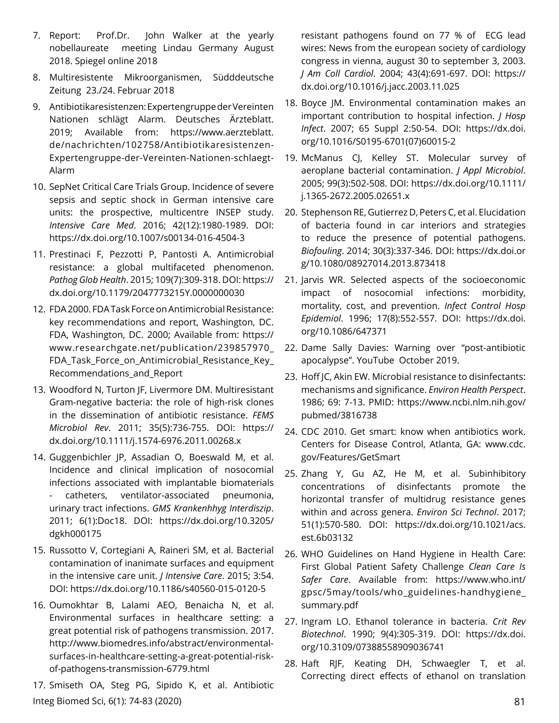- 7. Report: Prof.Dr. John Walker at the yearly nobellaureate meeting Lindau Germany August 2018. Spiegel online 2018
- 8. Multiresistente Mikroorganismen, Südddeutsche Zeitung 23./24. Februar 2018
- 9. Antibiotikaresistenzen: Expertengruppe der Vereinten Nationen schlägt Alarm. Deutsches Ärzteblatt. 2019; Available from: [https://www.aerzteblatt.](https://www.aerzteblatt.de/nachrichten/102758/Antibiotikaresistenzen-Expertengruppe-der-Vereinten-Nationen-schlaegt-Alarm) [de/nachrichten/102758/Antibiotikaresistenzen-](https://www.aerzteblatt.de/nachrichten/102758/Antibiotikaresistenzen-Expertengruppe-der-Vereinten-Nationen-schlaegt-Alarm)[Expertengruppe-der-Vereinten-Nationen-schlaegt-](https://www.aerzteblatt.de/nachrichten/102758/Antibiotikaresistenzen-Expertengruppe-der-Vereinten-Nationen-schlaegt-Alarm)[Alarm](https://www.aerzteblatt.de/nachrichten/102758/Antibiotikaresistenzen-Expertengruppe-der-Vereinten-Nationen-schlaegt-Alarm)
- 10. SepNet Critical Care Trials Group. Incidence of severe sepsis and septic shock in German intensive care units: the prospective, multicentre INSEP study. *Intensive Care Med*. 2016; 42(12):1980-1989. DOI: <https://dx.doi.org/10.1007/s00134-016-4504-3>
- 11. Prestinaci F, Pezzotti P, Pantosti A. Antimicrobial resistance: a global multifaceted phenomenon. *Pathog Glob Health*. 2015; 109(7):309-318. DOI: [https://](https://dx.doi.org/10.1179/2047773215Y.0000000030) [dx.doi.org/10.1179/2047773215Y.0000000030](https://dx.doi.org/10.1179/2047773215Y.0000000030)
- 12. FDA 2000. FDA Task Force on Antimicrobial Resistance: key recommendations and report, Washington, DC. FDA, Washington, DC. 2000; Available from: [https://](https://www.researchgate.net/publication/239857970_FDA_Task_Force_on_Antimicrobial_Resistance_Key_Recommendations_and_Report) [www.researchgate.net/publication/239857970\\_](https://www.researchgate.net/publication/239857970_FDA_Task_Force_on_Antimicrobial_Resistance_Key_Recommendations_and_Report) [FDA\\_Task\\_Force\\_on\\_Antimicrobial\\_Resistance\\_Key\\_](https://www.researchgate.net/publication/239857970_FDA_Task_Force_on_Antimicrobial_Resistance_Key_Recommendations_and_Report) [Recommendations\\_and\\_Report](https://www.researchgate.net/publication/239857970_FDA_Task_Force_on_Antimicrobial_Resistance_Key_Recommendations_and_Report)
- 13. Woodford N, Turton JF, Livermore DM. Multiresistant Gram-negative bacteria: the role of high-risk clones in the dissemination of antibiotic resistance. *FEMS Microbiol Rev*. 2011; 35(5):736-755. DOI: [https://](https://dx.doi.org/10.1111/j.1574-6976.2011.00268.x) [dx.doi.org/10.1111/j.1574-6976.2011.00268.x](https://dx.doi.org/10.1111/j.1574-6976.2011.00268.x)
- 14. Guggenbichler JP, Assadian O, Boeswald M, et al. Incidence and clinical implication of nosocomial infections associated with implantable biomaterials - catheters, ventilator-associated pneumonia, urinary tract infections. *GMS Krankenhhyg Interdiszip*. 2011; 6(1):Doc18. DOI: [https://dx.doi.org/10.3205/](https://dx.doi.org/10.3205/dgkh000175) [dgkh000175](https://dx.doi.org/10.3205/dgkh000175)
- 15. Russotto V, Cortegiani A, Raineri SM, et al. Bacterial contamination of inanimate surfaces and equipment in the intensive care unit. *J Intensive Care*. 2015; 3:54. DOI:<https://dx.doi.org/10.1186/s40560-015-0120-5>
- 16. Oumokhtar B, Lalami AEO, Benaicha N, et al. Environmental surfaces in healthcare setting: a great potential risk of pathogens transmission. 2017. [http://www.biomedres.info/abstract/environmental](http://www.biomedres.info/abstract/environmental-surfaces-in-healthcare-setting-a-great-potential-risk-of-pathogens-transmission-6779.html)[surfaces-in-healthcare-setting-a-great-potential-risk](http://www.biomedres.info/abstract/environmental-surfaces-in-healthcare-setting-a-great-potential-risk-of-pathogens-transmission-6779.html)[of-pathogens-transmission-6779.html](http://www.biomedres.info/abstract/environmental-surfaces-in-healthcare-setting-a-great-potential-risk-of-pathogens-transmission-6779.html)
- Integ Biomed Sci, 6(1): 74-83 (2020) 81 17. Smiseth OA, Steg PG, Sipido K, et al. Antibiotic

resistant pathogens found on 77 % of ECG lead wires: News from the european society of cardiology congress in vienna, august 30 to september 3, 2003. *J Am Coll Cardiol*. 2004; 43(4):691-697. DOI: [https://](https://dx.doi.org/10.1016/j.jacc.2003.11.025) [dx.doi.org/10.1016/j.jacc.2003.11.025](https://dx.doi.org/10.1016/j.jacc.2003.11.025)

- 18. Boyce JM. Environmental contamination makes an important contribution to hospital infection. *J Hosp Infect*. 2007; 65 Suppl 2:50-54. DOI: [https://dx.doi.](https://dx.doi.org/10.1016/S0195-6701(07)60015-2) [org/10.1016/S0195-6701\(07\)60015-2](https://dx.doi.org/10.1016/S0195-6701(07)60015-2)
- 19. McManus CJ, Kelley ST. Molecular survey of aeroplane bacterial contamination. *J Appl Microbiol*. 2005; 99(3):502-508. DOI: [https://dx.doi.org/10.1111/](https://dx.doi.org/10.1111/j.1365-2672.2005.02651.x) [j.1365-2672.2005.02651.x](https://dx.doi.org/10.1111/j.1365-2672.2005.02651.x)
- 20. Stephenson RE, Gutierrez D, Peters C, et al. Elucidation of bacteria found in car interiors and strategies to reduce the presence of potential pathogens. *Biofouling*. 2014; 30(3):337-346. DOI: [https://dx.doi.or](https://dx.doi.org/10.1080/08927014.2013.873418) [g/10.1080/08927014.2013.873418](https://dx.doi.org/10.1080/08927014.2013.873418)
- 21. Jarvis WR. Selected aspects of the socioeconomic impact of nosocomial infections: morbidity, mortality, cost, and prevention. *Infect Control Hosp Epidemiol*. 1996; 17(8):552-557. DOI: [https://dx.doi.](https://dx.doi.org/10.1086/647371) [org/10.1086/647371](https://dx.doi.org/10.1086/647371)
- 22. [Dame Sally Davies: Warning over "post-antibiotic](https://www.youtube.com/watch?v=PAmH75E0VkQ) [apocalypse". YouTube October 2019.](https://www.youtube.com/watch?v=PAmH75E0VkQ)
- 23. Hoff JC, Akin EW. Microbial resistance to disinfectants: mechanisms and significance. *Environ Health Perspect*. 1986; 69: 7-13. PMID: [https://www.ncbi.nlm.nih.gov/](https://www.ncbi.nlm.nih.gov/pubmed/3816738) [pubmed/3816738](https://www.ncbi.nlm.nih.gov/pubmed/3816738)
- 24. CDC 2010. Get smart: know when antibiotics work. Centers for Disease Control, Atlanta, GA: [www.cdc.](http://www.cdc.gov/Features/GetSmart) [gov/Features/GetSmart](http://www.cdc.gov/Features/GetSmart)
- 25. Zhang Y, Gu AZ, He M, et al. Subinhibitory concentrations of disinfectants promote the horizontal transfer of multidrug resistance genes within and across genera. *Environ Sci Technol*. 2017; 51(1):570-580. DOI: [https://dx.doi.org/10.1021/acs.](https://dx.doi.org/10.1021/acs.est.6b03132) [est.6b03132](https://dx.doi.org/10.1021/acs.est.6b03132)
- 26. WHO Guidelines on Hand Hygiene in Health Care: First Global Patient Safety Challenge *Clean Care Is Safer Care*. Available from: [https://www.who.int/](https://www.who.int/gpsc/5may/tools/who_guidelines-handhygiene_summary.pdf) [gpsc/5may/tools/who\\_guidelines-handhygiene\\_](https://www.who.int/gpsc/5may/tools/who_guidelines-handhygiene_summary.pdf) [summary.pdf](https://www.who.int/gpsc/5may/tools/who_guidelines-handhygiene_summary.pdf)
- 27. Ingram LO. Ethanol tolerance in bacteria. *Crit Rev Biotechnol*. 1990; 9(4):305-319. DOI: [https://dx.doi.](https://dx.doi.org/10.3109/07388558909036741) [org/10.3109/07388558909036741](https://dx.doi.org/10.3109/07388558909036741)
- 28. Haft RJF, Keating DH, Schwaegler T, et al. Correcting direct effects of ethanol on translation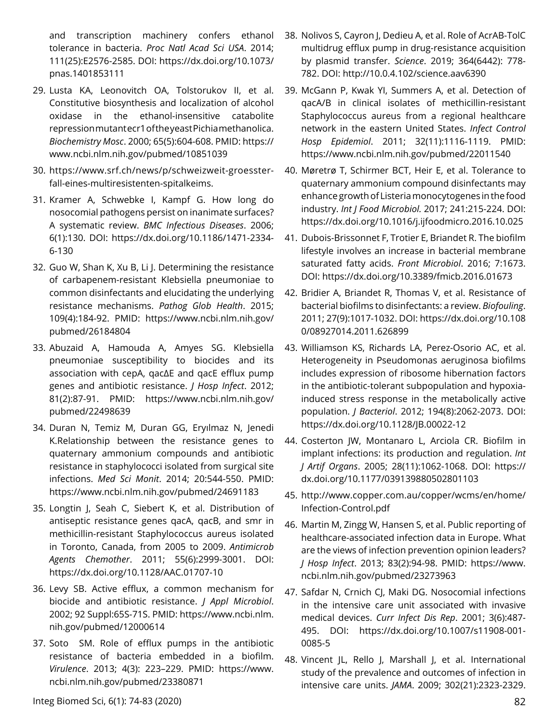and transcription machinery confers ethanol tolerance in bacteria. *Proc Natl Acad Sci USA*. 2014; 111(25):E2576-2585. DOI: [https://dx.doi.org/10.1073/](https://dx.doi.org/10.1073/pnas.1401853111) [pnas.1401853111](https://dx.doi.org/10.1073/pnas.1401853111)

- 29. Lusta KA, Leonovitch OA, Tolstorukov II, et al. Constitutive biosynthesis and localization of alcohol oxidase in the ethanol-insensitive catabolite repression mutant ecr1 of the yeast Pichia methanolica. *Biochemistry Mosc*. 2000; 65(5):604-608. PMID: [https://](https://www.ncbi.nlm.nih.gov/pubmed/10851039) [www.ncbi.nlm.nih.gov/pubmed/10851039](https://www.ncbi.nlm.nih.gov/pubmed/10851039)
- 30. [https://www.srf.ch/news/p/schweizweit-groesster](https://www.srf.ch/news/p/schweizweit-groesster-fall-eines-multiresistenten-spitalkeims)[fall-eines-multiresistenten-spitalkeims](https://www.srf.ch/news/p/schweizweit-groesster-fall-eines-multiresistenten-spitalkeims).
- 31. Kramer A, Schwebke I, Kampf G. How long do nosocomial pathogens persist on inanimate surfaces? A systematic review. *BMC Infectious Diseases*. 2006; 6(1):130. DOI: [https://dx.doi.org/10.1186/1471-2334-](https://dx.doi.org/10.1186/1471-2334-6-130) [6-130](https://dx.doi.org/10.1186/1471-2334-6-130)
- 32. Guo W, Shan K, Xu B, Li J. Determining the resistance of carbapenem-resistant Klebsiella pneumoniae to common disinfectants and elucidating the underlying resistance mechanisms. *Pathog Glob Health*. 2015; 109(4):184-92. PMID: [https://www.ncbi.nlm.nih.gov/](https://www.ncbi.nlm.nih.gov/pubmed/26184804) [pubmed/26184804](https://www.ncbi.nlm.nih.gov/pubmed/26184804)
- 33. Abuzaid A, Hamouda A, Amyes SG. Klebsiella pneumoniae susceptibility to biocides and its association with cepA, qacΔE and qacE efflux pump genes and antibiotic resistance. *J Hosp Infect*. 2012; 81(2):87-91. PMID: [https://www.ncbi.nlm.nih.gov/](https://www.ncbi.nlm.nih.gov/pubmed/22498639) [pubmed/22498639](https://www.ncbi.nlm.nih.gov/pubmed/22498639)
- 34. Duran N, Temiz M, Duran GG, Eryılmaz N, Jenedi K.Relationship between the resistance genes to quaternary ammonium compounds and antibiotic resistance in staphylococci isolated from surgical site infections. *Med Sci Monit*. 2014; 20:544-550. PMID: <https://www.ncbi.nlm.nih.gov/pubmed/24691183>
- 35. Longtin J, Seah C, Siebert K, et al. Distribution of antiseptic resistance genes qacA, qacB, and smr in methicillin-resistant Staphylococcus aureus isolated in Toronto, Canada, from 2005 to 2009. *Antimicrob Agents Chemother*. 2011; 55(6):2999-3001. DOI: <https://dx.doi.org/10.1128/AAC.01707-10>
- 36. Levy SB. Active efflux, a common mechanism for biocide and antibiotic resistance. *J Appl Microbiol*. 2002; 92 Suppl:65S-71S. PMID: [https://www.ncbi.nlm.](https://www.ncbi.nlm.nih.gov/pubmed/12000614) [nih.gov/pubmed/12000614](https://www.ncbi.nlm.nih.gov/pubmed/12000614)
- 37. Soto SM. Role of efflux pumps in the antibiotic resistance of bacteria embedded in a biofilm. *Virulence*. 2013; 4(3): 223–229. PMID: [https://www.](https://www.ncbi.nlm.nih.gov/pubmed/23380871) [ncbi.nlm.nih.gov/pubmed/23380871](https://www.ncbi.nlm.nih.gov/pubmed/23380871)
- 38. Nolivos S, Cayron J, Dedieu A, et al. Role of AcrAB-TolC multidrug efflux pump in drug-resistance acquisition by plasmid transfer. *Science*. 2019; 364(6442): 778- 782. DOI: <http://10.0.4.102/science.aav6390>
- 39. McGann P, Kwak YI, Summers A, et al. Detection of qacA/B in clinical isolates of methicillin-resistant Staphylococcus aureus from a regional healthcare network in the eastern United States. *Infect Control Hosp Epidemiol*. 2011; 32(11):1116-1119. PMID: <https://www.ncbi.nlm.nih.gov/pubmed/22011540>
- 40. Møretrø T, Schirmer BCT, Heir E, et al. Tolerance to quaternary ammonium compound disinfectants may enhance growth of Listeria monocytogenes in the food industry. *Int J Food Microbiol.* 2017; 241:215-224. DOI: <https://dx.doi.org/10.1016/j.ijfoodmicro.2016.10.025>
- 41. Dubois-Brissonnet F, Trotier E, Briandet R. The biofilm lifestyle involves an increase in bacterial membrane saturated fatty acids. *Front Microbiol*. 2016; 7:1673. DOI:<https://dx.doi.org/10.3389/fmicb.2016.01673>
- 42. Bridier A, Briandet R, Thomas V, et al. Resistance of bacterial biofilms to disinfectants: a review. *Biofouling*. 2011; 27(9):1017-1032. DOI: [https://dx.doi.org/10.108](https://dx.doi.org/10.1080/08927014.2011.626899) [0/08927014.2011.626899](https://dx.doi.org/10.1080/08927014.2011.626899)
- 43. Williamson KS, Richards LA, Perez-Osorio AC, et al. Heterogeneity in Pseudomonas aeruginosa biofilms includes expression of ribosome hibernation factors in the antibiotic-tolerant subpopulation and hypoxiainduced stress response in the metabolically active population. *J Bacteriol*. 2012; 194(8):2062-2073. DOI: <https://dx.doi.org/10.1128/JB.00022-12>
- 44. Costerton JW, Montanaro L, Arciola CR. Biofilm in implant infections: its production and regulation. *Int J Artif Organs*. 2005; 28(11):1062-1068. DOI: [https://](https://dx.doi.org/10.1177/039139880502801103) [dx.doi.org/10.1177/039139880502801103](https://dx.doi.org/10.1177/039139880502801103)
- 45. [http://www.copper.com.au/copper/wcms/en/home/](http://www.copper.com.au/copper/wcms/en/home/Infection-Control.pdf) [Infection-Control.pdf](http://www.copper.com.au/copper/wcms/en/home/Infection-Control.pdf)
- 46. Martin M, Zingg W, Hansen S, et al. Public reporting of healthcare-associated infection data in Europe. What are the views of infection prevention opinion leaders? *J Hosp Infect*. 2013; 83(2):94-98. PMID: [https://www.](https://www.ncbi.nlm.nih.gov/pubmed/23273963) [ncbi.nlm.nih.gov/pubmed/23273963](https://www.ncbi.nlm.nih.gov/pubmed/23273963)
- 47. Safdar N, Crnich CJ, Maki DG. Nosocomial infections in the intensive care unit associated with invasive medical devices. *Curr Infect Dis Rep*. 2001; 3(6):487- 495. DOI: [https://dx.doi.org/10.1007/s11908-001-](https://dx.doi.org/10.1007/s11908-001-0085-5) [0085-5](https://dx.doi.org/10.1007/s11908-001-0085-5)
- 48. Vincent JL, Rello J, Marshall J, et al. International study of the prevalence and outcomes of infection in intensive care units. *JAMA*. 2009; 302(21):2323-2329.

Integ Biomed Sci, 6(1): 74-83 (2020) 82